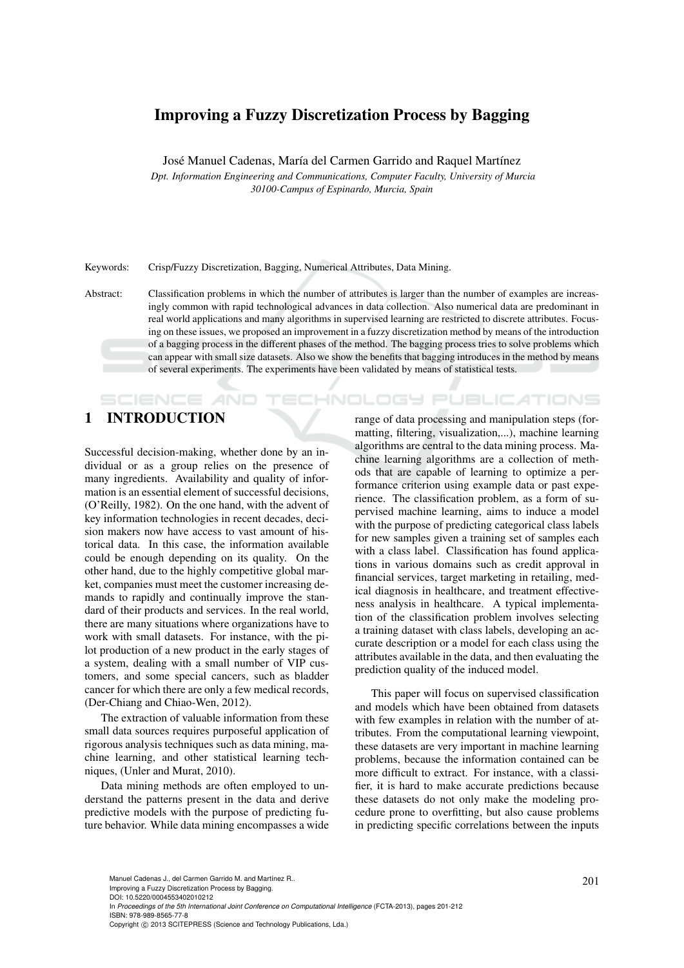## Improving a Fuzzy Discretization Process by Bagging

José Manuel Cadenas, María del Carmen Garrido and Raquel Martínez

*Dpt. Information Engineering and Communications, Computer Faculty, University of Murcia 30100-Campus of Espinardo, Murcia, Spain*

Keywords: Crisp/Fuzzy Discretization, Bagging, Numerical Attributes, Data Mining.

Abstract: Classification problems in which the number of attributes is larger than the number of examples are increasingly common with rapid technological advances in data collection. Also numerical data are predominant in real world applications and many algorithms in supervised learning are restricted to discrete attributes. Focusing on these issues, we proposed an improvement in a fuzzy discretization method by means of the introduction of a bagging process in the different phases of the method. The bagging process tries to solve problems which can appear with small size datasets. Also we show the benefits that bagging introduces in the method by means of several experiments. The experiments have been validated by means of statistical tests.

# 1 INTRODUCTION

**SCIENCE AND** 

Successful decision-making, whether done by an individual or as a group relies on the presence of many ingredients. Availability and quality of information is an essential element of successful decisions, (O'Reilly, 1982). On the one hand, with the advent of key information technologies in recent decades, decision makers now have access to vast amount of historical data. In this case, the information available could be enough depending on its quality. On the other hand, due to the highly competitive global market, companies must meet the customer increasing demands to rapidly and continually improve the standard of their products and services. In the real world, there are many situations where organizations have to work with small datasets. For instance, with the pilot production of a new product in the early stages of a system, dealing with a small number of VIP customers, and some special cancers, such as bladder cancer for which there are only a few medical records, (Der-Chiang and Chiao-Wen, 2012).

The extraction of valuable information from these small data sources requires purposeful application of rigorous analysis techniques such as data mining, machine learning, and other statistical learning techniques, (Unler and Murat, 2010).

Data mining methods are often employed to understand the patterns present in the data and derive predictive models with the purpose of predicting future behavior. While data mining encompasses a wide range of data processing and manipulation steps (formatting, filtering, visualization,...), machine learning algorithms are central to the data mining process. Machine learning algorithms are a collection of methods that are capable of learning to optimize a performance criterion using example data or past experience. The classification problem, as a form of supervised machine learning, aims to induce a model with the purpose of predicting categorical class labels for new samples given a training set of samples each with a class label. Classification has found applications in various domains such as credit approval in financial services, target marketing in retailing, medical diagnosis in healthcare, and treatment effectiveness analysis in healthcare. A typical implementation of the classification problem involves selecting a training dataset with class labels, developing an accurate description or a model for each class using the attributes available in the data, and then evaluating the prediction quality of the induced model.

TECHNOLOGY PUBLIC ATIONS

This paper will focus on supervised classification and models which have been obtained from datasets with few examples in relation with the number of attributes. From the computational learning viewpoint, these datasets are very important in machine learning problems, because the information contained can be more difficult to extract. For instance, with a classifier, it is hard to make accurate predictions because these datasets do not only make the modeling procedure prone to overfitting, but also cause problems in predicting specific correlations between the inputs

Manuel Cadenas J., del Carmen Garrido M. and Martínez R..<br>Improving a Fuzzy Discretization Process by Bagging.

DOI: 10.5220/0004553402010212

In *Proceedings of the 5th International Joint Conference on Computational Intelligence* (FCTA-2013), pages 201-212 ISBN: 978-989-8565-77-8 Copyright © 2013 SCITEPRESS (Science and Technology Publications, Lda.)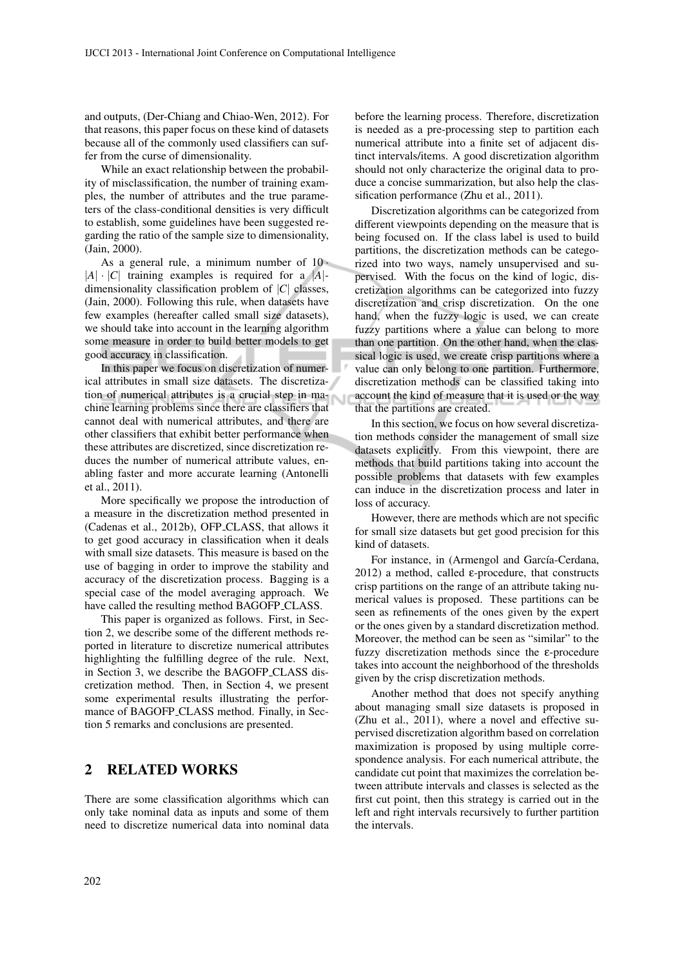and outputs, (Der-Chiang and Chiao-Wen, 2012). For that reasons, this paper focus on these kind of datasets because all of the commonly used classifiers can suffer from the curse of dimensionality.

While an exact relationship between the probability of misclassification, the number of training examples, the number of attributes and the true parameters of the class-conditional densities is very difficult to establish, some guidelines have been suggested regarding the ratio of the sample size to dimensionality, (Jain, 2000).

As a general rule, a minimum number of 10 *·*  $|A| \cdot |C|$  training examples is required for a  $|A|$ dimensionality classification problem of *|C|* classes, (Jain, 2000). Following this rule, when datasets have few examples (hereafter called small size datasets), we should take into account in the learning algorithm some measure in order to build better models to get good accuracy in classification.

In this paper we focus on discretization of numerical attributes in small size datasets. The discretization of numerical attributes is a crucial step in machine learning problems since there are classifiers that cannot deal with numerical attributes, and there are other classifiers that exhibit better performance when these attributes are discretized, since discretization reduces the number of numerical attribute values, enabling faster and more accurate learning (Antonelli et al., 2011).

More specifically we propose the introduction of a measure in the discretization method presented in (Cadenas et al., 2012b), OFP CLASS, that allows it to get good accuracy in classification when it deals with small size datasets. This measure is based on the use of bagging in order to improve the stability and accuracy of the discretization process. Bagging is a special case of the model averaging approach. We have called the resulting method BAGOFP CLASS.

This paper is organized as follows. First, in Section 2, we describe some of the different methods reported in literature to discretize numerical attributes highlighting the fulfilling degree of the rule. Next, in Section 3, we describe the BAGOFP CLASS discretization method. Then, in Section 4, we present some experimental results illustrating the performance of BAGOFP CLASS method. Finally, in Section 5 remarks and conclusions are presented.

#### 2 RELATED WORKS

There are some classification algorithms which can only take nominal data as inputs and some of them need to discretize numerical data into nominal data before the learning process. Therefore, discretization is needed as a pre-processing step to partition each numerical attribute into a finite set of adjacent distinct intervals/items. A good discretization algorithm should not only characterize the original data to produce a concise summarization, but also help the classification performance (Zhu et al., 2011).

Discretization algorithms can be categorized from different viewpoints depending on the measure that is being focused on. If the class label is used to build partitions, the discretization methods can be categorized into two ways, namely unsupervised and supervised. With the focus on the kind of logic, discretization algorithms can be categorized into fuzzy discretization and crisp discretization. On the one hand, when the fuzzy logic is used, we can create fuzzy partitions where a value can belong to more than one partition. On the other hand, when the classical logic is used, we create crisp partitions where a value can only belong to one partition. Furthermore, discretization methods can be classified taking into account the kind of measure that it is used or the way that the partitions are created.

In this section, we focus on how several discretization methods consider the management of small size datasets explicitly. From this viewpoint, there are methods that build partitions taking into account the possible problems that datasets with few examples can induce in the discretization process and later in loss of accuracy.

However, there are methods which are not specific for small size datasets but get good precision for this kind of datasets.

For instance, in (Armengol and García-Cerdana, 2012) a method, called ε-procedure, that constructs crisp partitions on the range of an attribute taking numerical values is proposed. These partitions can be seen as refinements of the ones given by the expert or the ones given by a standard discretization method. Moreover, the method can be seen as "similar" to the fuzzy discretization methods since the ε-procedure takes into account the neighborhood of the thresholds given by the crisp discretization methods.

Another method that does not specify anything about managing small size datasets is proposed in (Zhu et al., 2011), where a novel and effective supervised discretization algorithm based on correlation maximization is proposed by using multiple correspondence analysis. For each numerical attribute, the candidate cut point that maximizes the correlation between attribute intervals and classes is selected as the first cut point, then this strategy is carried out in the left and right intervals recursively to further partition the intervals.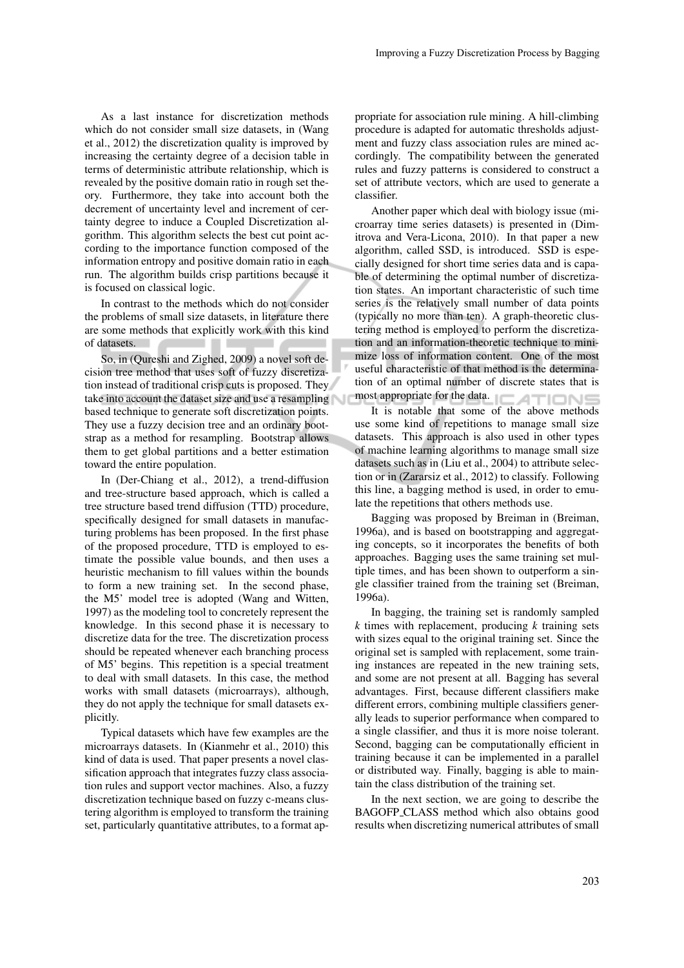As a last instance for discretization methods which do not consider small size datasets, in (Wang et al., 2012) the discretization quality is improved by increasing the certainty degree of a decision table in terms of deterministic attribute relationship, which is revealed by the positive domain ratio in rough set theory. Furthermore, they take into account both the decrement of uncertainty level and increment of certainty degree to induce a Coupled Discretization algorithm. This algorithm selects the best cut point according to the importance function composed of the information entropy and positive domain ratio in each run. The algorithm builds crisp partitions because it is focused on classical logic.

In contrast to the methods which do not consider the problems of small size datasets, in literature there are some methods that explicitly work with this kind of datasets. . . .

So, in (Qureshi and Zighed, 2009) a novel soft decision tree method that uses soft of fuzzy discretization instead of traditional crisp cuts is proposed. They take into account the dataset size and use a resampling based technique to generate soft discretization points. They use a fuzzy decision tree and an ordinary bootstrap as a method for resampling. Bootstrap allows them to get global partitions and a better estimation toward the entire population.

In (Der-Chiang et al., 2012), a trend-diffusion and tree-structure based approach, which is called a tree structure based trend diffusion (TTD) procedure, specifically designed for small datasets in manufacturing problems has been proposed. In the first phase of the proposed procedure, TTD is employed to estimate the possible value bounds, and then uses a heuristic mechanism to fill values within the bounds to form a new training set. In the second phase, the M5' model tree is adopted (Wang and Witten, 1997) as the modeling tool to concretely represent the knowledge. In this second phase it is necessary to discretize data for the tree. The discretization process should be repeated whenever each branching process of M5' begins. This repetition is a special treatment to deal with small datasets. In this case, the method works with small datasets (microarrays), although, they do not apply the technique for small datasets explicitly.

Typical datasets which have few examples are the microarrays datasets. In (Kianmehr et al., 2010) this kind of data is used. That paper presents a novel classification approach that integrates fuzzy class association rules and support vector machines. Also, a fuzzy discretization technique based on fuzzy c-means clustering algorithm is employed to transform the training set, particularly quantitative attributes, to a format appropriate for association rule mining. A hill-climbing procedure is adapted for automatic thresholds adjustment and fuzzy class association rules are mined accordingly. The compatibility between the generated rules and fuzzy patterns is considered to construct a set of attribute vectors, which are used to generate a classifier.

Another paper which deal with biology issue (microarray time series datasets) is presented in (Dimitrova and Vera-Licona, 2010). In that paper a new algorithm, called SSD, is introduced. SSD is especially designed for short time series data and is capable of determining the optimal number of discretization states. An important characteristic of such time series is the relatively small number of data points (typically no more than ten). A graph-theoretic clustering method is employed to perform the discretization and an information-theoretic technique to minimize loss of information content. One of the most useful characteristic of that method is the determination of an optimal number of discrete states that is most appropriate for the data.

It is notable that some of the above methods use some kind of repetitions to manage small size datasets. This approach is also used in other types of machine learning algorithms to manage small size datasets such as in (Liu et al., 2004) to attribute selection or in (Zararsiz et al., 2012) to classify. Following this line, a bagging method is used, in order to emulate the repetitions that others methods use.

Bagging was proposed by Breiman in (Breiman, 1996a), and is based on bootstrapping and aggregating concepts, so it incorporates the benefits of both approaches. Bagging uses the same training set multiple times, and has been shown to outperform a single classifier trained from the training set (Breiman, 1996a).

In bagging, the training set is randomly sampled *k* times with replacement, producing *k* training sets with sizes equal to the original training set. Since the original set is sampled with replacement, some training instances are repeated in the new training sets, and some are not present at all. Bagging has several advantages. First, because different classifiers make different errors, combining multiple classifiers generally leads to superior performance when compared to a single classifier, and thus it is more noise tolerant. Second, bagging can be computationally efficient in training because it can be implemented in a parallel or distributed way. Finally, bagging is able to maintain the class distribution of the training set.

In the next section, we are going to describe the BAGOFP CLASS method which also obtains good results when discretizing numerical attributes of small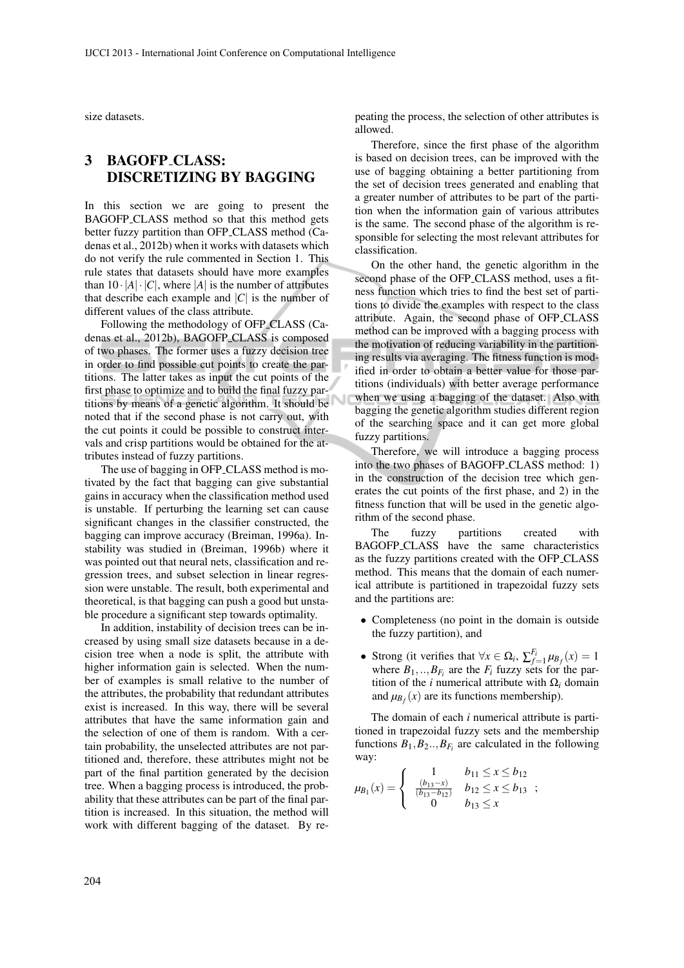size datasets.

# 3 BAGOFP CLASS: DISCRETIZING BY BAGGING

In this section we are going to present the BAGOFP CLASS method so that this method gets better fuzzy partition than OFP CLASS method (Cadenas et al., 2012b) when it works with datasets which do not verify the rule commented in Section 1. This rule states that datasets should have more examples than  $10 \cdot |A| \cdot |C|$ , where  $|A|$  is the number of attributes that describe each example and  $|C|$  is the number of different values of the class attribute.

Following the methodology of OFP CLASS (Cadenas et al., 2012b), BAGOFP CLASS is composed of two phases. The former uses a fuzzy decision tree in order to find possible cut points to create the partitions. The latter takes as input the cut points of the first phase to optimize and to build the final fuzzy partitions by means of a genetic algorithm. It should be noted that if the second phase is not carry out, with the cut points it could be possible to construct intervals and crisp partitions would be obtained for the attributes instead of fuzzy partitions.

The use of bagging in OFP CLASS method is motivated by the fact that bagging can give substantial gains in accuracy when the classification method used is unstable. If perturbing the learning set can cause significant changes in the classifier constructed, the bagging can improve accuracy (Breiman, 1996a). Instability was studied in (Breiman, 1996b) where it was pointed out that neural nets, classification and regression trees, and subset selection in linear regression were unstable. The result, both experimental and theoretical, is that bagging can push a good but unstable procedure a significant step towards optimality.

In addition, instability of decision trees can be increased by using small size datasets because in a decision tree when a node is split, the attribute with higher information gain is selected. When the number of examples is small relative to the number of the attributes, the probability that redundant attributes exist is increased. In this way, there will be several attributes that have the same information gain and the selection of one of them is random. With a certain probability, the unselected attributes are not partitioned and, therefore, these attributes might not be part of the final partition generated by the decision tree. When a bagging process is introduced, the probability that these attributes can be part of the final partition is increased. In this situation, the method will work with different bagging of the dataset. By repeating the process, the selection of other attributes is allowed.

Therefore, since the first phase of the algorithm is based on decision trees, can be improved with the use of bagging obtaining a better partitioning from the set of decision trees generated and enabling that a greater number of attributes to be part of the partition when the information gain of various attributes is the same. The second phase of the algorithm is responsible for selecting the most relevant attributes for classification.

On the other hand, the genetic algorithm in the second phase of the OFP CLASS method, uses a fitness function which tries to find the best set of partitions to divide the examples with respect to the class attribute. Again, the second phase of OFP CLASS method can be improved with a bagging process with the motivation of reducing variability in the partitioning results via averaging. The fitness function is modified in order to obtain a better value for those partitions (individuals) with better average performance when we using a bagging of the dataset. Also with bagging the genetic algorithm studies different region of the searching space and it can get more global fuzzy partitions.

Therefore, we will introduce a bagging process into the two phases of BAGOFP CLASS method: 1) in the construction of the decision tree which generates the cut points of the first phase, and 2) in the fitness function that will be used in the genetic algorithm of the second phase.

The fuzzy partitions created with BAGOFP CLASS have the same characteristics as the fuzzy partitions created with the OFP CLASS method. This means that the domain of each numerical attribute is partitioned in trapezoidal fuzzy sets and the partitions are:

- *•* Completeness (no point in the domain is outside the fuzzy partition), and
- Strong (it verifies that  $\forall x \in \Omega_i$ ,  $\sum_{f=1}^{F_i} \mu_{B_f}(x) = 1$ where  $B_1, \ldots, B_{F_i}$  are the  $F_i$  fuzzy sets for the partition of the *i* numerical attribute with  $Ω<sub>i</sub>$  domain and  $\mu_{B_f}(x)$  are its functions membership).

The domain of each *i* numerical attribute is partitioned in trapezoidal fuzzy sets and the membership functions  $B_1, B_2, \ldots, B_{F_i}$  are calculated in the following way:

$$
\mu_{B_1}(x) = \begin{cases} 1 & b_{11} \leq x \leq b_{12} \\ \frac{(b_{13}-x)}{(b_{13}-b_{12})} & b_{12} \leq x \leq b_{13} \\ 0 & b_{13} \leq x \end{cases};
$$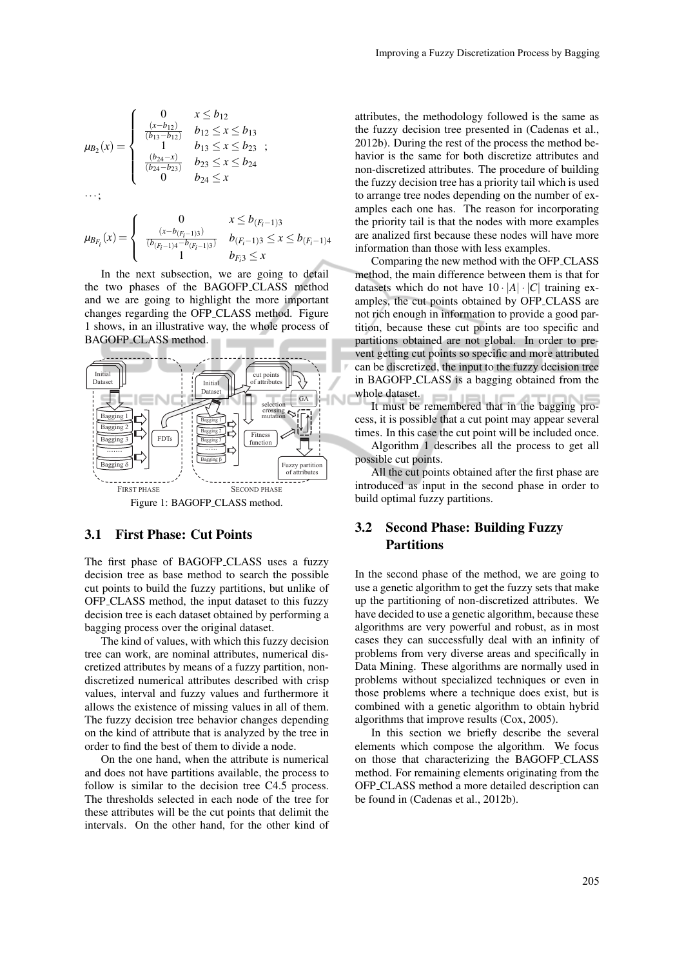$$
\mu_{B_2}(x) = \begin{cases}\n0 & x \leq b_{12} \\
\frac{(x - b_{12})}{(b_{13} - b_{12})} & b_{12} \leq x \leq b_{13} \\
1 & b_{13} \leq x \leq b_{23} \\
\frac{(b_{24} - x)}{(b_{24} - b_{23})} & b_{23} \leq x \leq b_{24} \\
0 & b_{24} \leq x\n\end{cases}
$$
...

$$
\mu_{B_{F_i}}(x) = \begin{cases}\n0 & x \le b_{(F_i-1)3} \\
\frac{(x - b_{(F_i-1)3})}{(b_{(F_i-1)4} - b_{(F_i-1)3})} & b_{(F_i-1)3} \le x \le b_{(F_i-1)4} \\
1 & b_{F_i3} \le x\n\end{cases}
$$

In the next subsection, we are going to detail the two phases of the BAGOFP CLASS method and we are going to highlight the more important changes regarding the OFP CLASS method. Figure 1 shows, in an illustrative way, the whole process of BAGOFP CLASS method.



Figure 1: BAGOFP CLASS method.

#### 3.1 First Phase: Cut Points

The first phase of BAGOFP CLASS uses a fuzzy decision tree as base method to search the possible cut points to build the fuzzy partitions, but unlike of OFP CLASS method, the input dataset to this fuzzy decision tree is each dataset obtained by performing a bagging process over the original dataset.

The kind of values, with which this fuzzy decision tree can work, are nominal attributes, numerical discretized attributes by means of a fuzzy partition, nondiscretized numerical attributes described with crisp values, interval and fuzzy values and furthermore it allows the existence of missing values in all of them. The fuzzy decision tree behavior changes depending on the kind of attribute that is analyzed by the tree in order to find the best of them to divide a node.

On the one hand, when the attribute is numerical and does not have partitions available, the process to follow is similar to the decision tree C4.5 process. The thresholds selected in each node of the tree for these attributes will be the cut points that delimit the intervals. On the other hand, for the other kind of attributes, the methodology followed is the same as the fuzzy decision tree presented in (Cadenas et al., 2012b). During the rest of the process the method behavior is the same for both discretize attributes and non-discretized attributes. The procedure of building the fuzzy decision tree has a priority tail which is used to arrange tree nodes depending on the number of examples each one has. The reason for incorporating the priority tail is that the nodes with more examples are analized first because these nodes will have more information than those with less examples.

Comparing the new method with the OFP CLASS method, the main difference between them is that for datasets which do not have  $10 \cdot |A| \cdot |C|$  training examples, the cut points obtained by OFP CLASS are not rich enough in information to provide a good partition, because these cut points are too specific and partitions obtained are not global. In order to prevent getting cut points so specific and more attributed can be discretized, the input to the fuzzy decision tree in BAGOFP CLASS is a bagging obtained from the whole dataset.

It must be remembered that in the bagging process, it is possible that a cut point may appear several times. In this case the cut point will be included once.

Algorithm 1 describes all the process to get all possible cut points.

All the cut points obtained after the first phase are introduced as input in the second phase in order to build optimal fuzzy partitions.

### 3.2 Second Phase: Building Fuzzy **Partitions**

In the second phase of the method, we are going to use a genetic algorithm to get the fuzzy sets that make up the partitioning of non-discretized attributes. We have decided to use a genetic algorithm, because these algorithms are very powerful and robust, as in most cases they can successfully deal with an infinity of problems from very diverse areas and specifically in Data Mining. These algorithms are normally used in problems without specialized techniques or even in those problems where a technique does exist, but is combined with a genetic algorithm to obtain hybrid algorithms that improve results (Cox, 2005).

In this section we briefly describe the several elements which compose the algorithm. We focus on those that characterizing the BAGOFP CLASS method. For remaining elements originating from the OFP CLASS method a more detailed description can be found in (Cadenas et al., 2012b).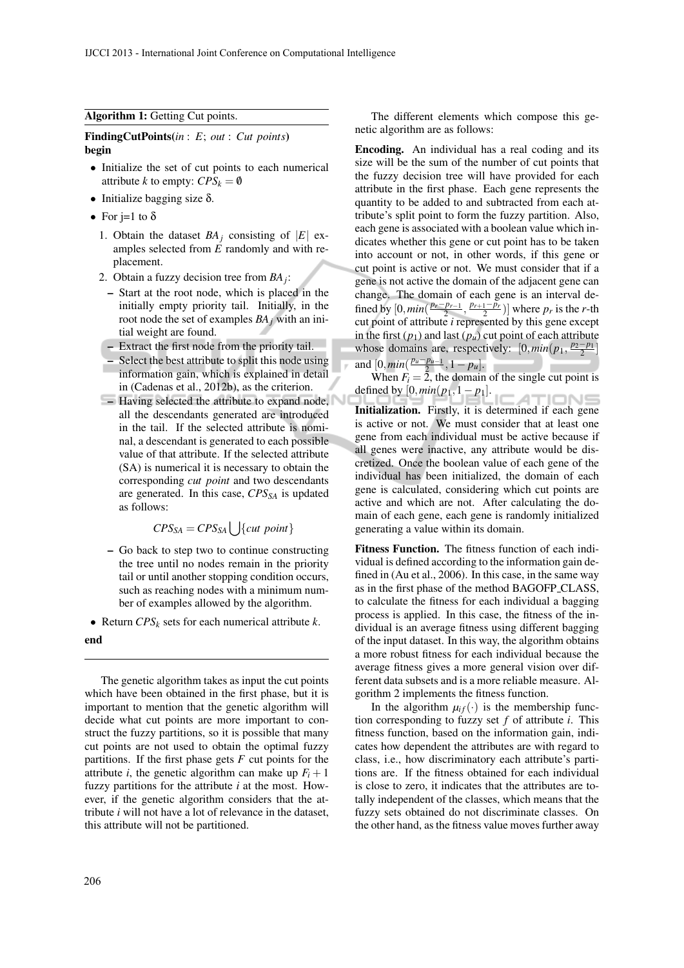#### Algorithm 1: Getting Cut points.

FindingCutPoints(*in* : *E*; *out* : *Cut points*) begin

- *•* Initialize the set of cut points to each numerical attribute *k* to empty:  $CPS_k = \emptyset$
- *•* Initialize bagging size δ.
- *•* For j=1 to δ
	- 1. Obtain the dataset  $BA_i$  consisting of  $|E|$  examples selected from *E* randomly and with replacement.
	- 2. Obtain a fuzzy decision tree from *BA<sup>j</sup>* :
		- Start at the root node, which is placed in the initially empty priority tail. Initially, in the root node the set of examples *BA<sup>j</sup>* with an initial weight are found.
	- Extract the first node from the priority tail.
	- Select the best attribute to split this node using information gain, which is explained in detail in (Cadenas et al., 2012b), as the criterion.
	- Having selected the attribute to expand node, all the descendants generated are introduced in the tail. If the selected attribute is nominal, a descendant is generated to each possible value of that attribute. If the selected attribute (SA) is numerical it is necessary to obtain the corresponding *cut point* and two descendants are generated. In this case, *CPSSA* is updated as follows:

 $CPS_{SA} = CPS_{SA} \cup \{cut\ point\}$ 

- Go back to step two to continue constructing the tree until no nodes remain in the priority tail or until another stopping condition occurs, such as reaching nodes with a minimum number of examples allowed by the algorithm.
- *•* Return *CPS<sup>k</sup>* sets for each numerical attribute *k*.

end

The genetic algorithm takes as input the cut points which have been obtained in the first phase, but it is important to mention that the genetic algorithm will decide what cut points are more important to construct the fuzzy partitions, so it is possible that many cut points are not used to obtain the optimal fuzzy partitions. If the first phase gets *F* cut points for the attribute *i*, the genetic algorithm can make up  $F_i + 1$ fuzzy partitions for the attribute *i* at the most. However, if the genetic algorithm considers that the attribute *i* will not have a lot of relevance in the dataset, this attribute will not be partitioned.

The different elements which compose this genetic algorithm are as follows:

Encoding. An individual has a real coding and its size will be the sum of the number of cut points that the fuzzy decision tree will have provided for each attribute in the first phase. Each gene represents the quantity to be added to and subtracted from each attribute's split point to form the fuzzy partition. Also, each gene is associated with a boolean value which indicates whether this gene or cut point has to be taken into account or not, in other words, if this gene or cut point is active or not. We must consider that if a gene is not active the domain of the adjacent gene can change. The domain of each gene is an interval defined by  $[0, min(\frac{p_r-p_{r-1}}{2}, \frac{p_{r+1}-p_r}{2})]$  where  $p_r$  is the *r*-th cut point of attribute *i* represented by this gene except in the first  $(p_1)$  and last  $(p_u)$  cut point of each attribute whose domains are, respectively:  $[0, min(p_1, \frac{p_2-p_1}{2}]$ and  $[0, min(\frac{p_u-p_{u-1}}{2}, 1-p_u].$ 

When  $F_i = 2$ , the domain of the single cut point is defined by  $[0, min(p_1, 1-p_1)]$ .

Initialization. Firstly, it is determined if each gene is active or not. We must consider that at least one gene from each individual must be active because if all genes were inactive, any attribute would be discretized. Once the boolean value of each gene of the individual has been initialized, the domain of each gene is calculated, considering which cut points are active and which are not. After calculating the domain of each gene, each gene is randomly initialized generating a value within its domain.

Fitness Function. The fitness function of each individual is defined according to the information gain defined in (Au et al., 2006). In this case, in the same way as in the first phase of the method BAGOFP CLASS, to calculate the fitness for each individual a bagging process is applied. In this case, the fitness of the individual is an average fitness using different bagging of the input dataset. In this way, the algorithm obtains a more robust fitness for each individual because the average fitness gives a more general vision over different data subsets and is a more reliable measure. Algorithm 2 implements the fitness function.

In the algorithm  $\mu_{if}(\cdot)$  is the membership function corresponding to fuzzy set *f* of attribute *i*. This fitness function, based on the information gain, indicates how dependent the attributes are with regard to class, i.e., how discriminatory each attribute's partitions are. If the fitness obtained for each individual is close to zero, it indicates that the attributes are totally independent of the classes, which means that the fuzzy sets obtained do not discriminate classes. On the other hand, as the fitness value moves further away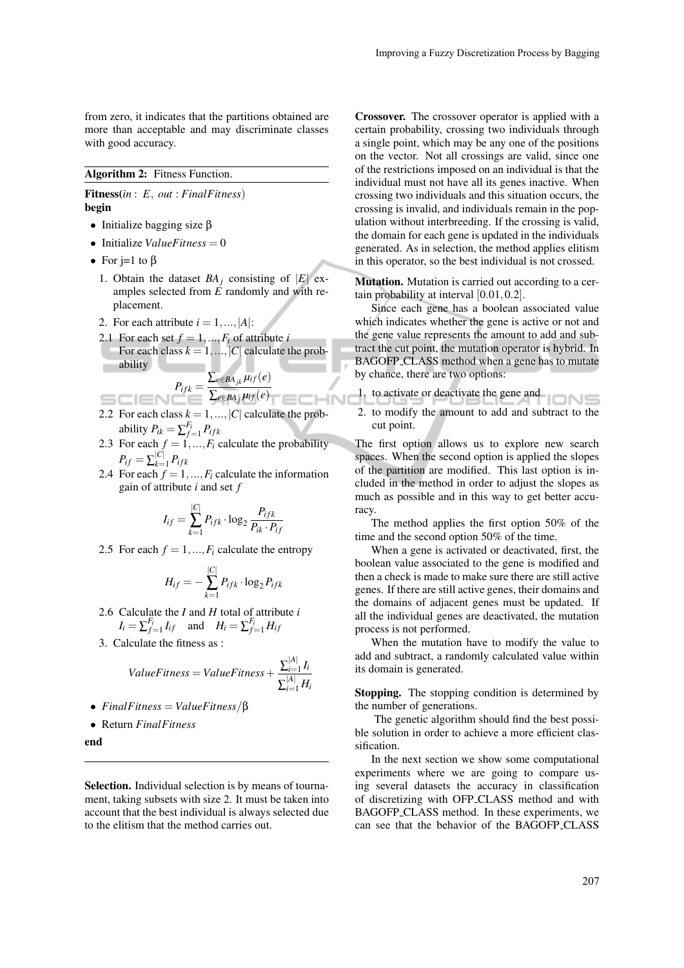from zero, it indicates that the partitions obtained are more than acceptable and may discriminate classes with good accuracy.

#### Algorithm 2: Fitness Function.

Fitness(*in* : *E, out* : *FinalFitness*) begin

- *•* Initialize bagging size β
- *•* Initialize *ValueFitness* = 0
- *•* For j=1 to β
	- 1. Obtain the dataset  $BA_j$  consisting of  $|E|$  examples selected from *E* randomly and with replacement.
	- 2. For each attribute  $i = 1, ..., |A|$ :
	- 2.1 For each set  $f = 1, ..., F_i$  of attribute *i* For each class  $k = 1, ..., |C|$  calculate the probability

$$
P_{ifk} = \frac{\sum_{e \in BA_{jk}} \mu_{if}(e)}{\sum_{e \in BA_j} \mu_{if}(e)}
$$

2.2 For each class  $k = 1, ..., |C|$  calculate the probability  $P_{ik} = \sum_{f=1}^{F_i} P_{ifk}$ 

**HN** 

- 2.3 For each  $f = 1, ..., F_i$  calculate the probability  $P_{if} = \sum_{k=1}^{|C|}$  $\sum_{k=1}^{\lvert \mathcal{C} \rvert} P_{ifk}$
- 2.4 For each  $f = 1, ..., F_i$  calculate the information gain of attribute *i* and set *f*

$$
I_{if} = \sum_{k=1}^{|C|} P_{ifk} \cdot \log_2 \frac{P_{ifk}}{P_{ik} \cdot P_{if}}
$$

2.5 For each  $f = 1, ..., F_i$  calculate the entropy

$$
H_{if} = -\sum_{k=1}^{|C|} P_{ifk} \cdot \log_2 P_{ifk}
$$

- 2.6 Calculate the *I* and *H* total of attribute *i*  $I_i = \sum_{f=1}^{F_i} I_{if}$  and  $H_i = \sum_{f=1}^{F_i} H_{if}$
- 3. Calculate the fitness as :

$$
ValueFitness = ValueFitness + \frac{\sum_{i=1}^{|A|} I_i}{\sum_{i=1}^{|A|} H_i}
$$

- *• FinalFitness* = *ValueFitness/*β
- *•* Return *FinalFitness*

end

Selection. Individual selection is by means of tournament, taking subsets with size 2. It must be taken into account that the best individual is always selected due to the elitism that the method carries out.

Crossover. The crossover operator is applied with a certain probability, crossing two individuals through a single point, which may be any one of the positions on the vector. Not all crossings are valid, since one of the restrictions imposed on an individual is that the individual must not have all its genes inactive. When crossing two individuals and this situation occurs, the crossing is invalid, and individuals remain in the population without interbreeding. If the crossing is valid, the domain for each gene is updated in the individuals generated. As in selection, the method applies elitism in this operator, so the best individual is not crossed.

Mutation. Mutation is carried out according to a certain probability at interval [0*.*01*,*0*.*2].

Since each gene has a boolean associated value which indicates whether the gene is active or not and the gene value represents the amount to add and subtract the cut point, the mutation operator is hybrid. In BAGOFP CLASS method when a gene has to mutate by chance, there are two options:

- 1. to activate or deactivate the gene and
- 2. to modify the amount to add and subtract to the cut point.

The first option allows us to explore new search spaces. When the second option is applied the slopes of the partition are modified. This last option is included in the method in order to adjust the slopes as much as possible and in this way to get better accuracy.

The method applies the first option 50% of the time and the second option 50% of the time.

When a gene is activated or deactivated, first, the boolean value associated to the gene is modified and then a check is made to make sure there are still active genes. If there are still active genes, their domains and the domains of adjacent genes must be updated. If all the individual genes are deactivated, the mutation process is not performed.

When the mutation have to modify the value to add and subtract, a randomly calculated value within its domain is generated.

Stopping. The stopping condition is determined by the number of generations.

The genetic algorithm should find the best possible solution in order to achieve a more efficient classification.

In the next section we show some computational experiments where we are going to compare using several datasets the accuracy in classification of discretizing with OFP CLASS method and with BAGOFP CLASS method. In these experiments, we can see that the behavior of the BAGOFP CLASS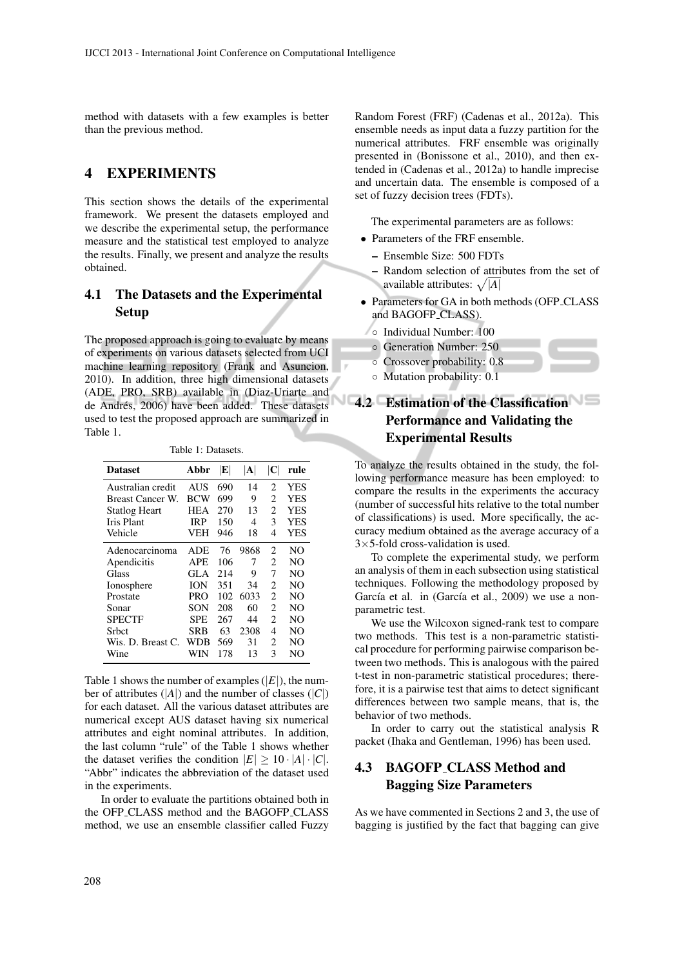method with datasets with a few examples is better than the previous method.

## 4 EXPERIMENTS

This section shows the details of the experimental framework. We present the datasets employed and we describe the experimental setup, the performance measure and the statistical test employed to analyze the results. Finally, we present and analyze the results obtained.

## 4.1 The Datasets and the Experimental Setup

The proposed approach is going to evaluate by means of experiments on various datasets selected from UCI machine learning repository (Frank and Asuncion, 2010). In addition, three high dimensional datasets (ADE, PRO, SRB) available in (Diaz-Uriarte and de Andrés, 2006) have been added. These datasets used to test the proposed approach are summarized in Table 1.

Table 1: Datasets.

| <b>Dataset</b>          | Abbr       | $ \mathbf{E} $ | $ {\bf A} $ | $ \mathbf{C} $ | rule           |
|-------------------------|------------|----------------|-------------|----------------|----------------|
| Australian credit       | <b>AUS</b> | 690            | 14          | $\overline{c}$ | <b>YES</b>     |
| <b>Breast Cancer W.</b> | BCW        | 699            | 9           | $\overline{c}$ | <b>YES</b>     |
| <b>Statlog Heart</b>    | <b>HEA</b> | 270            | 13          | $\overline{c}$ | <b>YES</b>     |
| <b>Iris Plant</b>       | IR P       | 150            | 4           | 3              | <b>YES</b>     |
| Vehicle                 | VEH        | 946            | 18          | 4              | <b>YES</b>     |
| Adenocarcinoma          | <b>ADE</b> | 76             | 9868        | $\overline{c}$ | NO.            |
| Apendicitis             | APE        | 106            | 7           | $\overline{c}$ | N <sub>O</sub> |
| Glass                   | GL A       | 214            | 9           | 7              | N <sub>O</sub> |
| Ionosphere              | <b>ION</b> | 351            | 34          | $\mathfrak{D}$ | N <sub>O</sub> |
| Prostate                | PRO        | 102            | 6033        | $\overline{c}$ | N <sub>O</sub> |
| Sonar                   | SON        | 208            | 60          | $\overline{c}$ | NO             |
| <b>SPECTF</b>           | <b>SPE</b> | 267            | 44          | 2              | NO             |
| Srbct                   | <b>SRB</b> | 63             | 2308        | 4              | N <sub>O</sub> |
| Wis. D. Breast C.       | WDB        | 569            | 31          | 2              | NO             |
| Wine                    | WIN        | 178            | 13          | 3              | NΟ             |

Table 1 shows the number of examples  $(|E|)$ , the number of attributes  $(|A|)$  and the number of classes  $(|C|)$ for each dataset. All the various dataset attributes are numerical except AUS dataset having six numerical attributes and eight nominal attributes. In addition, the last column "rule" of the Table 1 shows whether the dataset verifies the condition  $|E| \geq 10 \cdot |A| \cdot |C|$ . "Abbr" indicates the abbreviation of the dataset used in the experiments.

In order to evaluate the partitions obtained both in the OFP CLASS method and the BAGOFP CLASS method, we use an ensemble classifier called Fuzzy

Random Forest (FRF) (Cadenas et al., 2012a). This ensemble needs as input data a fuzzy partition for the numerical attributes. FRF ensemble was originally presented in (Bonissone et al., 2010), and then extended in (Cadenas et al., 2012a) to handle imprecise and uncertain data. The ensemble is composed of a set of fuzzy decision trees (FDTs).

The experimental parameters are as follows:

- *•* Parameters of the FRF ensemble.
	- Ensemble Size: 500 FDTs
	- Random selection of attributes from the set of available attributes: √ *|A|*
- Parameters for GA in both methods (OFP\_CLASS and BAGOFP CLASS).
- *◦* Individual Number: 100
- *◦* Generation Number: 250
- *◦* Crossover probability: 0.8
- *◦* Mutation probability: 0.1

# 4.2 Estimation of the Classification Performance and Validating the Experimental Results

To analyze the results obtained in the study, the following performance measure has been employed: to compare the results in the experiments the accuracy (number of successful hits relative to the total number of classifications) is used. More specifically, the accuracy medium obtained as the average accuracy of a 3*×*5-fold cross-validation is used.

To complete the experimental study, we perform an analysis of them in each subsection using statistical techniques. Following the methodology proposed by García et al. in (García et al., 2009) we use a nonparametric test.

We use the Wilcoxon signed-rank test to compare two methods. This test is a non-parametric statistical procedure for performing pairwise comparison between two methods. This is analogous with the paired t-test in non-parametric statistical procedures; therefore, it is a pairwise test that aims to detect significant differences between two sample means, that is, the behavior of two methods.

In order to carry out the statistical analysis R packet (Ihaka and Gentleman, 1996) has been used.

### 4.3 BAGOFP CLASS Method and Bagging Size Parameters

As we have commented in Sections 2 and 3, the use of bagging is justified by the fact that bagging can give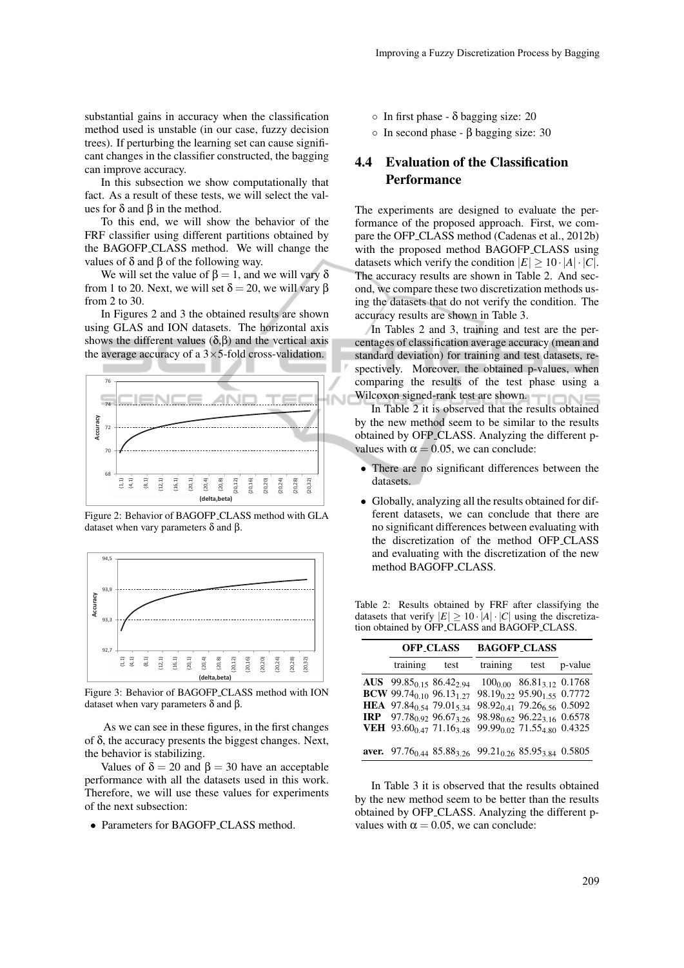substantial gains in accuracy when the classification method used is unstable (in our case, fuzzy decision trees). If perturbing the learning set can cause significant changes in the classifier constructed, the bagging can improve accuracy.

In this subsection we show computationally that fact. As a result of these tests, we will select the values for  $δ$  and  $β$  in the method.

To this end, we will show the behavior of the FRF classifier using different partitions obtained by the BAGOFP CLASS method. We will change the values of δ and β of the following way.

We will set the value of  $\beta = 1$ , and we will vary  $\delta$ from 1 to 20. Next, we will set  $\delta = 20$ , we will vary  $\beta$ from 2 to 30.

In Figures 2 and 3 the obtained results are shown using GLAS and ION datasets. The horizontal axis shows the different values  $(\delta,\beta)$  and the vertical axis the average accuracy of a  $3 \times 5$ -fold cross-validation.



Figure 2: Behavior of BAGOFP CLASS method with GLA dataset when vary parameters  $δ$  and  $β$ .



Figure 3: Behavior of BAGOFP CLASS method with ION dataset when vary parameters  $\delta$  and  $\beta$ .

As we can see in these figures, in the first changes of δ, the accuracy presents the biggest changes. Next, the behavior is stabilizing.

performance with all the datasets used in this work. Therefore, we will use these values for experiments Values of  $\delta = 20$  and  $\beta = 30$  have an acceptable of the next subsection:

• Parameters for BAGOFP\_CLASS method.

- *◦* In first phase δ bagging size: 20
- *◦* In second phase β bagging size: 30

## 4.4 Evaluation of the Classification **Performance**

The experiments are designed to evaluate the performance of the proposed approach. First, we compare the OFP CLASS method (Cadenas et al., 2012b) with the proposed method BAGOFP CLASS using datasets which verify the condition  $|E| \geq 10 \cdot |A| \cdot |C|$ . The accuracy results are shown in Table 2. And second, we compare these two discretization methods using the datasets that do not verify the condition. The accuracy results are shown in Table 3.

In Tables 2 and 3, training and test are the percentages of classification average accuracy (mean and standard deviation) for training and test datasets, respectively. Moreover, the obtained p-values, when comparing the results of the test phase using a Wilcoxon signed-rank test are shown. **IMMS** 

In Table 2 it is observed that the results obtained by the new method seem to be similar to the results obtained by OFP CLASS. Analyzing the different pvalues with  $\alpha = 0.05$ , we can conclude:

- *•* There are no significant differences between the datasets.
- *•* Globally, analyzing all the results obtained for different datasets, we can conclude that there are no significant differences between evaluating with the discretization of the method OFP CLASS and evaluating with the discretization of the new method BAGOFP CLASS.

Table 2: Results obtained by FRF after classifying the datasets that verify  $|E| > 10 \cdot |A| \cdot |C|$  using the discretization obtained by OFP CLASS and BAGOFP CLASS.

| <b>OFP_CLASS</b>                                       |                                                                                                           | <b>BAGOFP_CLASS</b> |                                                    |  |
|--------------------------------------------------------|-----------------------------------------------------------------------------------------------------------|---------------------|----------------------------------------------------|--|
| training                                               | test                                                                                                      |                     | training test p-value                              |  |
|                                                        | AUS $99.85_{0.15}$ $86.42_{2.94}$ $100_{0.00}$ $86.81_{3.12}$ 0.1768                                      |                     |                                                    |  |
| <b>BCW</b> 99.74 <sub>0.10</sub> 96.13 <sub>1.27</sub> |                                                                                                           |                     | $98.19_{0.22}$ $95.90_{1.55}$ 0.7772               |  |
| <b>HEA</b> 97.84 <sub>0.54</sub> 79.01 <sub>5.34</sub> |                                                                                                           |                     | 98.92 <sub>0.41</sub> 79.26 <sub>6.56</sub> 0.5092 |  |
|                                                        | <b>IRP</b> 97.78 <sub>0.92</sub> 96.67 <sub>3.26</sub> 98.98 <sub>0.62</sub> 96.22 <sub>3.16</sub> 0.6578 |                     |                                                    |  |
|                                                        | VEH 93.60 <sub>0.47</sub> 71.16 <sub>3.48</sub> 99.99 <sub>0.02</sub> 71.55 <sub>4.80</sub> 0.4325        |                     |                                                    |  |
|                                                        | aver. 97.76 <sub>0.44</sub> 85.88 <sub>3.26</sub> 99.21 <sub>0.26</sub> 85.95 <sub>3.84</sub> 0.5805      |                     |                                                    |  |

In Table 3 it is observed that the results obtained by the new method seem to be better than the results obtained by OFP CLASS. Analyzing the different pvalues with  $\alpha = 0.05$ , we can conclude: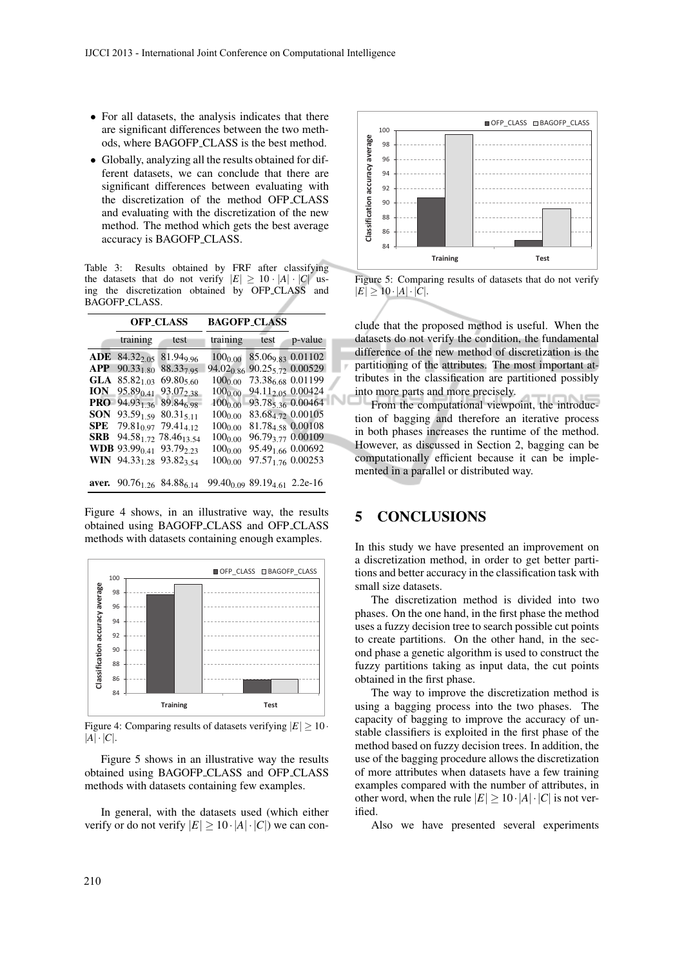- *•* For all datasets, the analysis indicates that there are significant differences between the two methods, where BAGOFP CLASS is the best method.
- *•* Globally, analyzing all the results obtained for different datasets, we can conclude that there are significant differences between evaluating with the discretization of the method OFP CLASS and evaluating with the discretization of the new method. The method which gets the best average accuracy is BAGOFP CLASS.

Table 3: Results obtained by FRF after classifying the datasets that do not verify  $|E| \ge 10 \cdot |A| \cdot |C|$  using the discretization obtained by OFP CLASS and BAGOFP CLASS.

| <b>OFP_CLASS</b>                                        |                       | <b>BAGOFP_CLASS</b>   |                                                     |         |
|---------------------------------------------------------|-----------------------|-----------------------|-----------------------------------------------------|---------|
| training                                                | test                  | training test         |                                                     | p-value |
| $ADE 84.32_{2.05}$                                      | 81.94996              | $100_{0.00}$          | 85.069830.01102                                     |         |
| $APP 90.33_{1.80}$                                      | 88.337.95             | 94.02 <sub>0.86</sub> | $90.25_{5}$ 72 $0.00529$                            |         |
| <b>GLA</b> 85.82 <sub>1.03</sub>                        | $69.80_{5.60}$        | $100_{0.00}$          | 73.38 <sub>6.68</sub> 0.01199                       |         |
| ION $95.89_{0.41}$                                      | 93.07 <sub>2.38</sub> | $100_{0.00}$          | $94.11_{2.05}$ 0.00424                              |         |
| <b>PRO</b> 94.93 <sub>1.36</sub>                        | $89.84_{6.98}$        | 100 <sub>0.00</sub>   | 93.78536 0.00464                                    |         |
| <b>SON</b> 93.59 <sub>1.59</sub>                        | $80.31_{5,11}$        | $100_{0.00}$          | 83.68 <sub>4.72</sub> 0.00105                       |         |
| <b>SPE</b> 79.81 <sub>0.97</sub> 79.41 <sub>4.12</sub>  |                       | $100_{0.00}$          | $81.784$ 58 0.00108                                 |         |
| <b>SRB</b> 94.58 <sub>1.72</sub> 78.46 <sub>13.54</sub> |                       | $100_{0.00}$          | 96.79 <sub>3.77</sub> 0.00109                       |         |
| WDB 93.99 <sub>0.41</sub> 93.79 <sub>2.23</sub>         |                       | $100_{0.00}$          | 95.49 <sub>1.66</sub> 0.00692                       |         |
| WIN 94.33 <sub>1.28</sub> 93.82 <sub>3.54</sub>         |                       | $100_{0.00}$          | $97.57_{1.76}$ 0.00253                              |         |
|                                                         |                       |                       |                                                     |         |
| aver. $90.76_{1.26}$ 84.88 <sub>6.14</sub>              |                       |                       | 99.40 <sub>0.09</sub> 89.19 <sub>4.61</sub> 2.2e-16 |         |

Figure 4 shows, in an illustrative way, the results obtained using BAGOFP CLASS and OFP CLASS methods with datasets containing enough examples.



Figure 4: Comparing results of datasets verifying  $|E| \geq 10$  *· |A|·|C|*.

Figure 5 shows in an illustrative way the results obtained using BAGOFP CLASS and OFP CLASS methods with datasets containing few examples.

In general, with the datasets used (which either verify or do not verify  $|E| \geq 10 \cdot |A| \cdot |C|$  we can con-



Figure 5: Comparing results of datasets that do not verify  $|E| \geq 10 \cdot |A| \cdot |C|$ .

clude that the proposed method is useful. When the datasets do not verify the condition, the fundamental difference of the new method of discretization is the partitioning of the attributes. The most important attributes in the classification are partitioned possibly into more parts and more precisely.

From the computational viewpoint, the introduction of bagging and therefore an iterative process in both phases increases the runtime of the method. However, as discussed in Section 2, bagging can be computationally efficient because it can be implemented in a parallel or distributed way.

#### 5 CONCLUSIONS

In this study we have presented an improvement on a discretization method, in order to get better partitions and better accuracy in the classification task with small size datasets.

The discretization method is divided into two phases. On the one hand, in the first phase the method uses a fuzzy decision tree to search possible cut points to create partitions. On the other hand, in the second phase a genetic algorithm is used to construct the fuzzy partitions taking as input data, the cut points obtained in the first phase.

The way to improve the discretization method is using a bagging process into the two phases. The capacity of bagging to improve the accuracy of unstable classifiers is exploited in the first phase of the method based on fuzzy decision trees. In addition, the use of the bagging procedure allows the discretization of more attributes when datasets have a few training examples compared with the number of attributes, in other word, when the rule  $|E| \geq 10 \cdot |A| \cdot |C|$  is not verified.

Also we have presented several experiments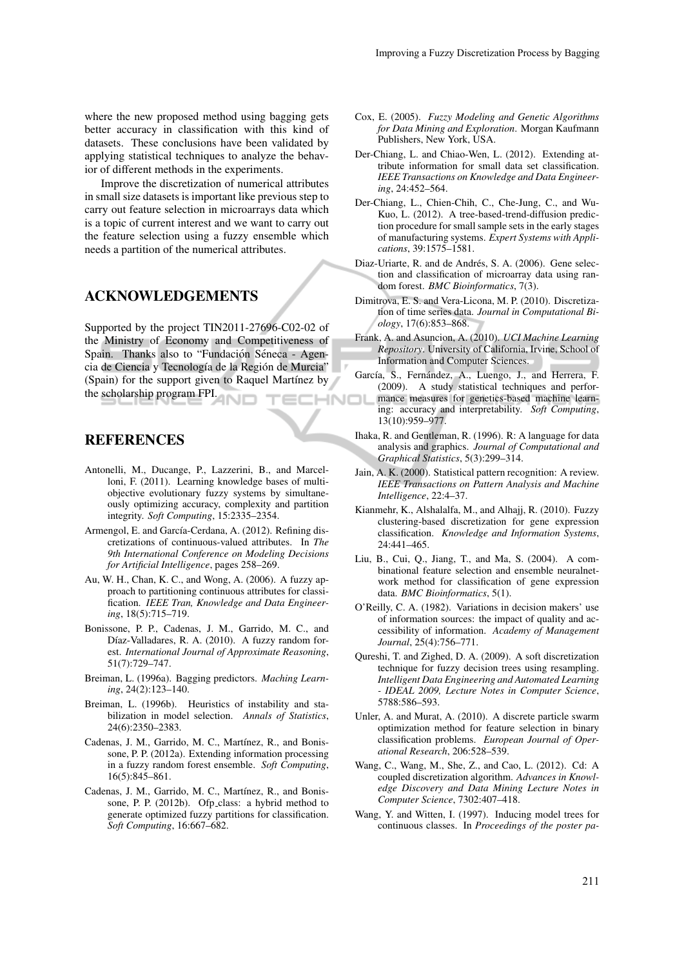where the new proposed method using bagging gets better accuracy in classification with this kind of datasets. These conclusions have been validated by applying statistical techniques to analyze the behavior of different methods in the experiments.

Improve the discretization of numerical attributes in small size datasets is important like previous step to carry out feature selection in microarrays data which is a topic of current interest and we want to carry out the feature selection using a fuzzy ensemble which needs a partition of the numerical attributes.

### ACKNOWLEDGEMENTS

Supported by the project TIN2011-27696-C02-02 of the Ministry of Economy and Competitiveness of Spain. Thanks also to "Fundación Séneca - Agencia de Ciencia y Tecnología de la Región de Murcia" (Spain) for the support given to Raquel Martínez by the scholarship program FPI.

#### REFERENCES

- Antonelli, M., Ducange, P., Lazzerini, B., and Marcelloni, F. (2011). Learning knowledge bases of multiobjective evolutionary fuzzy systems by simultaneously optimizing accuracy, complexity and partition integrity. *Soft Computing*, 15:2335–2354.
- Armengol, E. and García-Cerdana, A. (2012). Refining discretizations of continuous-valued attributes. In *The 9th International Conference on Modeling Decisions for Artificial Intelligence*, pages 258–269.
- Au, W. H., Chan, K. C., and Wong, A. (2006). A fuzzy approach to partitioning continuous attributes for classification. *IEEE Tran, Knowledge and Data Engineering*, 18(5):715–719.
- Bonissone, P. P., Cadenas, J. M., Garrido, M. C., and Díaz-Valladares, R. A. (2010). A fuzzy random forest. *International Journal of Approximate Reasoning*, 51(7):729–747.
- Breiman, L. (1996a). Bagging predictors. *Maching Learning*, 24(2):123–140.
- Breiman, L. (1996b). Heuristics of instability and stabilization in model selection. *Annals of Statistics*, 24(6):2350–2383.
- Cadenas, J. M., Garrido, M. C., Martínez, R., and Bonissone, P. P. (2012a). Extending information processing in a fuzzy random forest ensemble. *Soft Computing*, 16(5):845–861.
- Cadenas, J. M., Garrido, M. C., Martínez, R., and Bonissone, P. P. (2012b). Ofp\_class: a hybrid method to generate optimized fuzzy partitions for classification. *Soft Computing*, 16:667–682.
- Cox, E. (2005). *Fuzzy Modeling and Genetic Algorithms for Data Mining and Exploration*. Morgan Kaufmann Publishers, New York, USA.
- Der-Chiang, L. and Chiao-Wen, L. (2012). Extending attribute information for small data set classification. *IEEE Transactions on Knowledge and Data Engineering*, 24:452–564.
- Der-Chiang, L., Chien-Chih, C., Che-Jung, C., and Wu-Kuo, L. (2012). A tree-based-trend-diffusion prediction procedure for small sample sets in the early stages of manufacturing systems. *Expert Systems with Applications*, 39:1575–1581.
- Diaz-Uriarte, R. and de Andrés, S. A. (2006). Gene selection and classification of microarray data using random forest. *BMC Bioinformatics*, 7(3).
- Dimitrova, E. S. and Vera-Licona, M. P. (2010). Discretization of time series data. *Journal in Computational Biology*, 17(6):853–868.
- Frank, A. and Asuncion, A. (2010). *UCI Machine Learning Repository*. University of California, Irvine, School of Information and Computer Sciences.
- García, S., Fernández, A., Luengo, J., and Herrera, F. (2009). A study statistical techniques and perfor-OVImance measures for genetics-based machine learning: accuracy and interpretability. *Soft Computing*, 13(10):959–977.
	- Ihaka, R. and Gentleman, R. (1996). R: A language for data analysis and graphics. *Journal of Computational and Graphical Statistics*, 5(3):299–314.
	- Jain, A. K. (2000). Statistical pattern recognition: A review. *IEEE Transactions on Pattern Analysis and Machine Intelligence*, 22:4–37.
	- Kianmehr, K., Alshalalfa, M., and Alhajj, R. (2010). Fuzzy clustering-based discretization for gene expression classification. *Knowledge and Information Systems*, 24:441–465.
	- Liu, B., Cui, Q., Jiang, T., and Ma, S. (2004). A combinational feature selection and ensemble neuralnetwork method for classification of gene expression data. *BMC Bioinformatics*, 5(1).
	- O'Reilly, C. A. (1982). Variations in decision makers' use of information sources: the impact of quality and accessibility of information. *Academy of Management Journal*, 25(4):756–771.
	- Qureshi, T. and Zighed, D. A. (2009). A soft discretization technique for fuzzy decision trees using resampling. *Intelligent Data Engineering and Automated Learning - IDEAL 2009, Lecture Notes in Computer Science*, 5788:586–593.
	- Unler, A. and Murat, A. (2010). A discrete particle swarm optimization method for feature selection in binary classification problems. *European Journal of Operational Research*, 206:528–539.
	- Wang, C., Wang, M., She, Z., and Cao, L. (2012). Cd: A coupled discretization algorithm. *Advances in Knowledge Discovery and Data Mining Lecture Notes in Computer Science*, 7302:407–418.
	- Wang, Y. and Witten, I. (1997). Inducing model trees for continuous classes. In *Proceedings of the poster pa-*